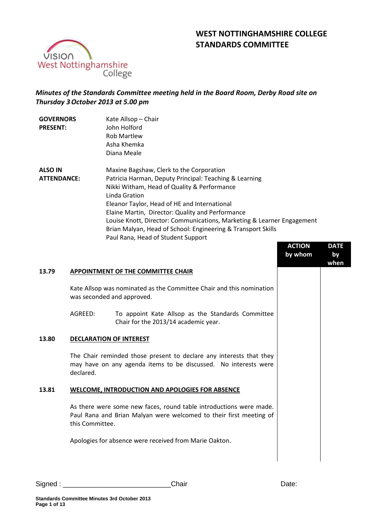# **WEST NOTTINGHAMSHIRE COLLEGE STANDARDS COMMITTEE**



## *Minutes of the Standards Committee meeting held in the Board Room, Derby Road site on Thursday 3October 2013 at 5.00 pm*

| <b>GOVERNORS</b><br><b>PRESENT:</b>  | Kate Allsop - Chair<br>John Holford<br><b>Rob Martlew</b><br>Asha Khemka<br>Diana Meale                                                                                                                                                                                                                                                                                                                                                                |
|--------------------------------------|--------------------------------------------------------------------------------------------------------------------------------------------------------------------------------------------------------------------------------------------------------------------------------------------------------------------------------------------------------------------------------------------------------------------------------------------------------|
| <b>ALSO IN</b><br><b>ATTENDANCE:</b> | Maxine Bagshaw, Clerk to the Corporation<br>Patricia Harman, Deputy Principal: Teaching & Learning<br>Nikki Witham, Head of Quality & Performance<br>Linda Gration<br>Eleanor Taylor, Head of HE and International<br>Elaine Martin, Director: Quality and Performance<br>Louise Knott, Director: Communications, Marketing & Learner Engagement<br>Brian Malyan, Head of School: Engineering & Transport Skills<br>Paul Rana, Head of Student Support |

|       |                                                                                                                                                             | <b>ACTION</b><br>by whom | <b>DATE</b><br>by<br>when |
|-------|-------------------------------------------------------------------------------------------------------------------------------------------------------------|--------------------------|---------------------------|
| 13.79 | APPOINTMENT OF THE COMMITTEE CHAIR                                                                                                                          |                          |                           |
|       | Kate Allsop was nominated as the Committee Chair and this nomination<br>was seconded and approved.                                                          |                          |                           |
|       | AGREED:<br>To appoint Kate Allsop as the Standards Committee<br>Chair for the 2013/14 academic year.                                                        |                          |                           |
| 13.80 | <b>DECLARATION OF INTEREST</b>                                                                                                                              |                          |                           |
|       | The Chair reminded those present to declare any interests that they<br>may have on any agenda items to be discussed. No interests were<br>declared.         |                          |                           |
| 13.81 | <b>WELCOME, INTRODUCTION AND APOLOGIES FOR ABSENCE</b>                                                                                                      |                          |                           |
|       | As there were some new faces, round table introductions were made.<br>Paul Rana and Brian Malyan were welcomed to their first meeting of<br>this Committee. |                          |                           |
|       | Apologies for absence were received from Marie Oakton.                                                                                                      |                          |                           |
|       |                                                                                                                                                             |                          |                           |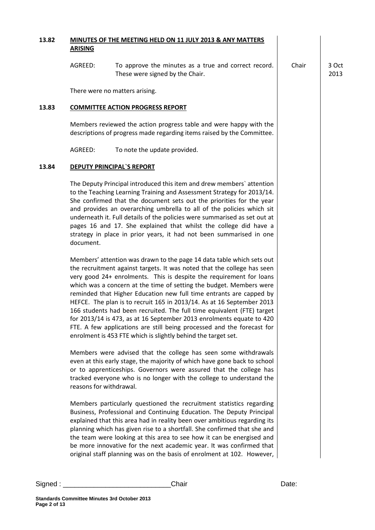| 13.82   | <b>ARISING</b>          | MINUTES OF THE MEETING HELD ON 11 JULY 2013 & ANY MATTERS                                                                                                                                                                                                                                                                                                                                                                                                                                                                                                                                                                                                                                                                                                                                                      |       |               |
|---------|-------------------------|----------------------------------------------------------------------------------------------------------------------------------------------------------------------------------------------------------------------------------------------------------------------------------------------------------------------------------------------------------------------------------------------------------------------------------------------------------------------------------------------------------------------------------------------------------------------------------------------------------------------------------------------------------------------------------------------------------------------------------------------------------------------------------------------------------------|-------|---------------|
|         | AGREED:                 | To approve the minutes as a true and correct record.<br>These were signed by the Chair.                                                                                                                                                                                                                                                                                                                                                                                                                                                                                                                                                                                                                                                                                                                        | Chair | 3 Oct<br>2013 |
|         |                         | There were no matters arising.                                                                                                                                                                                                                                                                                                                                                                                                                                                                                                                                                                                                                                                                                                                                                                                 |       |               |
| 13.83   |                         | <b>COMMITTEE ACTION PROGRESS REPORT</b>                                                                                                                                                                                                                                                                                                                                                                                                                                                                                                                                                                                                                                                                                                                                                                        |       |               |
|         |                         | Members reviewed the action progress table and were happy with the<br>descriptions of progress made regarding items raised by the Committee.                                                                                                                                                                                                                                                                                                                                                                                                                                                                                                                                                                                                                                                                   |       |               |
|         | AGREED:                 | To note the update provided.                                                                                                                                                                                                                                                                                                                                                                                                                                                                                                                                                                                                                                                                                                                                                                                   |       |               |
| 13.84   |                         | <b>DEPUTY PRINCIPAL'S REPORT</b>                                                                                                                                                                                                                                                                                                                                                                                                                                                                                                                                                                                                                                                                                                                                                                               |       |               |
|         | document.               | The Deputy Principal introduced this item and drew members' attention<br>to the Teaching Learning Training and Assessment Strategy for 2013/14.<br>She confirmed that the document sets out the priorities for the year<br>and provides an overarching umbrella to all of the policies which sit<br>underneath it. Full details of the policies were summarised as set out at<br>pages 16 and 17. She explained that whilst the college did have a<br>strategy in place in prior years, it had not been summarised in one                                                                                                                                                                                                                                                                                      |       |               |
|         |                         | Members' attention was drawn to the page 14 data table which sets out<br>the recruitment against targets. It was noted that the college has seen<br>very good 24+ enrolments. This is despite the requirement for loans<br>which was a concern at the time of setting the budget. Members were<br>reminded that Higher Education new full time entrants are capped by<br>HEFCE. The plan is to recruit 165 in 2013/14. As at 16 September 2013<br>166 students had been recruited. The full time equivalent (FTE) target<br>for 2013/14 is 473, as at 16 September 2013 enrolments equate to 420<br>FTE. A few applications are still being processed and the forecast for<br>enrolment is 453 FTE which is slightly behind the target set.<br>Members were advised that the college has seen some withdrawals |       |               |
|         | reasons for withdrawal. | even at this early stage, the majority of which have gone back to school<br>or to apprenticeships. Governors were assured that the college has<br>tracked everyone who is no longer with the college to understand the                                                                                                                                                                                                                                                                                                                                                                                                                                                                                                                                                                                         |       |               |
|         |                         | Members particularly questioned the recruitment statistics regarding<br>Business, Professional and Continuing Education. The Deputy Principal<br>explained that this area had in reality been over ambitious regarding its<br>planning which has given rise to a shortfall. She confirmed that she and<br>the team were looking at this area to see how it can be energised and<br>be more innovative for the next academic year. It was confirmed that<br>original staff planning was on the basis of enrolment at 102. However,                                                                                                                                                                                                                                                                              |       |               |
| Signed: |                         | Chair                                                                                                                                                                                                                                                                                                                                                                                                                                                                                                                                                                                                                                                                                                                                                                                                          | Date: |               |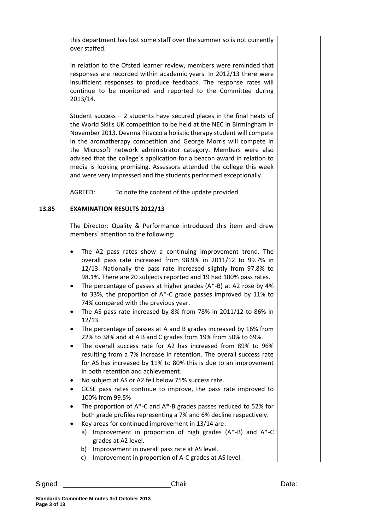this department has lost some staff over the summer so is not currently over staffed.

In relation to the Ofsted learner review, members were reminded that responses are recorded within academic years. In 2012/13 there were insufficient responses to produce feedback. The response rates will continue to be monitored and reported to the Committee during 2013/14.

Student success – 2 students have secured places in the final heats of the World Skills UK competition to be held at the NEC in Birmingham in November 2013. Deanna Pitacco a holistic therapy student will compete in the aromatherapy competition and George Morris will compete in the Microsoft network administrator category. Members were also advised that the college`s application for a beacon award in relation to media is looking promising. Assessors attended the college this week and were very impressed and the students performed exceptionally.

AGREED: To note the content of the update provided.

### **13.85 EXAMINATION RESULTS 2012/13**

The Director: Quality & Performance introduced this item and drew members` attention to the following:

- The A2 pass rates show a continuing improvement trend. The overall pass rate increased from 98.9% in 2011/12 to 99.7% in 12/13. Nationally the pass rate increased slightly from 97.8% to 98.1%. There are 20 subjects reported and 19 had 100% pass rates.
- The percentage of passes at higher grades (A\*-B) at A2 rose by 4% to 33%, the proportion of A\*-C grade passes improved by 11% to 74% compared with the previous year.
- The AS pass rate increased by 8% from 78% in 2011/12 to 86% in 12/13.
- The percentage of passes at A and B grades increased by 16% from 22% to 38% and at A B and C grades from 19% from 50% to 69%.
- The overall success rate for A2 has increased from 89% to 96% resulting from a 7% increase in retention. The overall success rate for AS has increased by 11% to 80% this is due to an improvement in both retention and achievement.
- No subject at AS or A2 fell below 75% success rate.
- GCSE pass rates continue to improve, the pass rate improved to 100% from 99.5%
- The proportion of A\*-C and A\*-B grades passes reduced to 52% for both grade profiles representing a 7% and 6% decline respectively.
- Key areas for continued improvement in 13/14 are:
	- a) Improvement in proportion of high grades (A\*-B) and A\*-C grades at A2 level.
	- b) Improvement in overall pass rate at AS level.
	- c) Improvement in proportion of A-C grades at AS level.

Signed : \_\_\_\_\_\_\_\_\_\_\_\_\_\_\_\_\_\_\_\_\_\_\_\_\_\_\_\_Chair Date: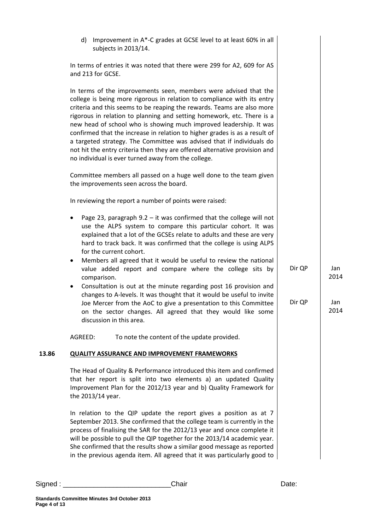|       | Improvement in A*-C grades at GCSE level to at least 60% in all<br>d)<br>subjects in 2013/14.                                                                                                                                                                                                                                                                                                                                                                                                                                                                                                                                                                     |        |             |
|-------|-------------------------------------------------------------------------------------------------------------------------------------------------------------------------------------------------------------------------------------------------------------------------------------------------------------------------------------------------------------------------------------------------------------------------------------------------------------------------------------------------------------------------------------------------------------------------------------------------------------------------------------------------------------------|--------|-------------|
|       | In terms of entries it was noted that there were 299 for A2, 609 for AS<br>and 213 for GCSE.                                                                                                                                                                                                                                                                                                                                                                                                                                                                                                                                                                      |        |             |
|       | In terms of the improvements seen, members were advised that the<br>college is being more rigorous in relation to compliance with its entry<br>criteria and this seems to be reaping the rewards. Teams are also more<br>rigorous in relation to planning and setting homework, etc. There is a<br>new head of school who is showing much improved leadership. It was<br>confirmed that the increase in relation to higher grades is as a result of<br>a targeted strategy. The Committee was advised that if individuals do<br>not hit the entry criteria then they are offered alternative provision and<br>no individual is ever turned away from the college. |        |             |
|       | Committee members all passed on a huge well done to the team given<br>the improvements seen across the board.                                                                                                                                                                                                                                                                                                                                                                                                                                                                                                                                                     |        |             |
|       | In reviewing the report a number of points were raised:                                                                                                                                                                                                                                                                                                                                                                                                                                                                                                                                                                                                           |        |             |
|       | Page 23, paragraph $9.2 - it$ was confirmed that the college will not<br>$\bullet$<br>use the ALPS system to compare this particular cohort. It was<br>explained that a lot of the GCSEs relate to adults and these are very<br>hard to track back. It was confirmed that the college is using ALPS<br>for the current cohort.<br>Members all agreed that it would be useful to review the national<br>$\bullet$<br>value added report and compare where the college sits by                                                                                                                                                                                      | Dir QP | Jan         |
|       | comparison.<br>Consultation is out at the minute regarding post 16 provision and<br>$\bullet$                                                                                                                                                                                                                                                                                                                                                                                                                                                                                                                                                                     |        | 2014        |
|       | changes to A-levels. It was thought that it would be useful to invite<br>Joe Mercer from the AoC to give a presentation to this Committee<br>on the sector changes. All agreed that they would like some<br>discussion in this area.                                                                                                                                                                                                                                                                                                                                                                                                                              | Dir QP | Jan<br>2014 |
|       | AGREED:<br>To note the content of the update provided.                                                                                                                                                                                                                                                                                                                                                                                                                                                                                                                                                                                                            |        |             |
| 13.86 | <b>QUALITY ASSURANCE AND IMPROVEMENT FRAMEWORKS</b>                                                                                                                                                                                                                                                                                                                                                                                                                                                                                                                                                                                                               |        |             |
|       | The Head of Quality & Performance introduced this item and confirmed<br>that her report is split into two elements a) an updated Quality<br>Improvement Plan for the 2012/13 year and b) Quality Framework for<br>the 2013/14 year.                                                                                                                                                                                                                                                                                                                                                                                                                               |        |             |
|       | In relation to the QIP update the report gives a position as at 7<br>September 2013. She confirmed that the college team is currently in the<br>process of finalising the SAR for the 2012/13 year and once complete it<br>will be possible to pull the QIP together for the 2013/14 academic year.<br>She confirmed that the results show a similar good message as reported<br>in the previous agenda item. All agreed that it was particularly good to                                                                                                                                                                                                         |        |             |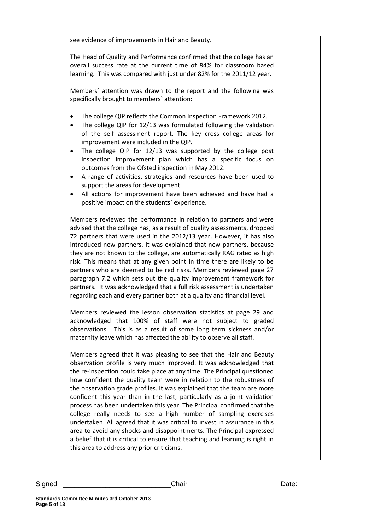see evidence of improvements in Hair and Beauty.

The Head of Quality and Performance confirmed that the college has an overall success rate at the current time of 84% for classroom based learning. This was compared with just under 82% for the 2011/12 year.

Members' attention was drawn to the report and the following was specifically brought to members` attention:

- The college QIP reflects the Common Inspection Framework 2012.
- The college QIP for 12/13 was formulated following the validation of the self assessment report. The key cross college areas for improvement were included in the QIP.
- The college QIP for 12/13 was supported by the college post inspection improvement plan which has a specific focus on outcomes from the Ofsted inspection in May 2012.
- A range of activities, strategies and resources have been used to support the areas for development.
- All actions for improvement have been achieved and have had a positive impact on the students` experience.

Members reviewed the performance in relation to partners and were advised that the college has, as a result of quality assessments, dropped 72 partners that were used in the 2012/13 year. However, it has also introduced new partners. It was explained that new partners, because they are not known to the college, are automatically RAG rated as high risk. This means that at any given point in time there are likely to be partners who are deemed to be red risks. Members reviewed page 27 paragraph 7.2 which sets out the quality improvement framework for partners. It was acknowledged that a full risk assessment is undertaken regarding each and every partner both at a quality and financial level.

Members reviewed the lesson observation statistics at page 29 and acknowledged that 100% of staff were not subject to graded observations. This is as a result of some long term sickness and/or maternity leave which has affected the ability to observe all staff.

Members agreed that it was pleasing to see that the Hair and Beauty observation profile is very much improved. It was acknowledged that the re-inspection could take place at any time. The Principal questioned how confident the quality team were in relation to the robustness of the observation grade profiles. It was explained that the team are more confident this year than in the last, particularly as a joint validation process has been undertaken this year. The Principal confirmed that the college really needs to see a high number of sampling exercises undertaken. All agreed that it was critical to invest in assurance in this area to avoid any shocks and disappointments. The Principal expressed a belief that it is critical to ensure that teaching and learning is right in this area to address any prior criticisms.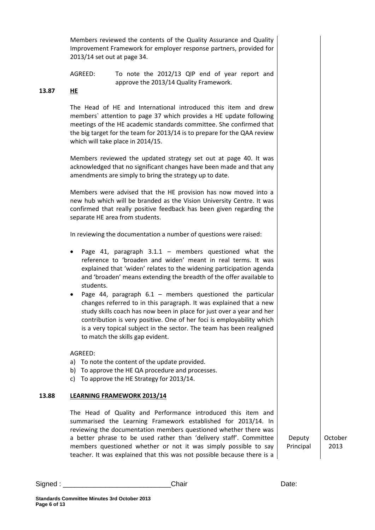Members reviewed the contents of the Quality Assurance and Quality Improvement Framework for employer response partners, provided for 2013/14 set out at page 34.

AGREED: To note the 2012/13 QIP end of year report and approve the 2013/14 Quality Framework.

### **13.87 HE**

The Head of HE and International introduced this item and drew members` attention to page 37 which provides a HE update following meetings of the HE academic standards committee. She confirmed that the big target for the team for 2013/14 is to prepare for the QAA review which will take place in 2014/15.

Members reviewed the updated strategy set out at page 40. It was acknowledged that no significant changes have been made and that any amendments are simply to bring the strategy up to date.

Members were advised that the HE provision has now moved into a new hub which will be branded as the Vision University Centre. It was confirmed that really positive feedback has been given regarding the separate HE area from students.

In reviewing the documentation a number of questions were raised:

- Page 41, paragraph  $3.1.1$  members questioned what the reference to 'broaden and widen' meant in real terms. It was explained that 'widen' relates to the widening participation agenda and 'broaden' means extending the breadth of the offer available to students.
- Page 44, paragraph  $6.1$  members questioned the particular changes referred to in this paragraph. It was explained that a new study skills coach has now been in place for just over a year and her contribution is very positive. One of her foci is employability which is a very topical subject in the sector. The team has been realigned to match the skills gap evident.

AGREED:

- a) To note the content of the update provided.
- b) To approve the HE QA procedure and processes.
- c) To approve the HE Strategy for 2013/14.

### **13.88 LEARNING FRAMEWORK 2013/14**

The Head of Quality and Performance introduced this item and summarised the Learning Framework established for 2013/14. In reviewing the documentation members questioned whether there was a better phrase to be used rather than 'delivery staff'. Committee members questioned whether or not it was simply possible to say teacher. It was explained that this was not possible because there is a

Deputy Principal October 2013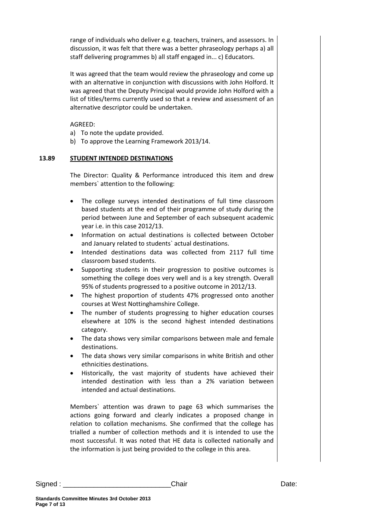range of individuals who deliver e.g. teachers, trainers, and assessors. In discussion, it was felt that there was a better phraseology perhaps a) all staff delivering programmes b) all staff engaged in... c) Educators.

It was agreed that the team would review the phraseology and come up with an alternative in conjunction with discussions with John Holford. It was agreed that the Deputy Principal would provide John Holford with a list of titles/terms currently used so that a review and assessment of an alternative descriptor could be undertaken.

AGREED:

- a) To note the update provided.
- b) To approve the Learning Framework 2013/14.

#### **13.89 STUDENT INTENDED DESTINATIONS**

The Director: Quality & Performance introduced this item and drew members` attention to the following:

- The college surveys intended destinations of full time classroom based students at the end of their programme of study during the period between June and September of each subsequent academic year i.e. in this case 2012/13.
- Information on actual destinations is collected between October and January related to students` actual destinations.
- Intended destinations data was collected from 2117 full time classroom based students.
- Supporting students in their progression to positive outcomes is something the college does very well and is a key strength. Overall 95% of students progressed to a positive outcome in 2012/13.
- The highest proportion of students 47% progressed onto another courses at West Nottinghamshire College.
- The number of students progressing to higher education courses elsewhere at 10% is the second highest intended destinations category.
- The data shows very similar comparisons between male and female destinations.
- The data shows very similar comparisons in white British and other ethnicities destinations.
- Historically, the vast majority of students have achieved their intended destination with less than a 2% variation between intended and actual destinations.

Members` attention was drawn to page 63 which summarises the actions going forward and clearly indicates a proposed change in relation to collation mechanisms. She confirmed that the college has trialled a number of collection methods and it is intended to use the most successful. It was noted that HE data is collected nationally and the information is just being provided to the college in this area.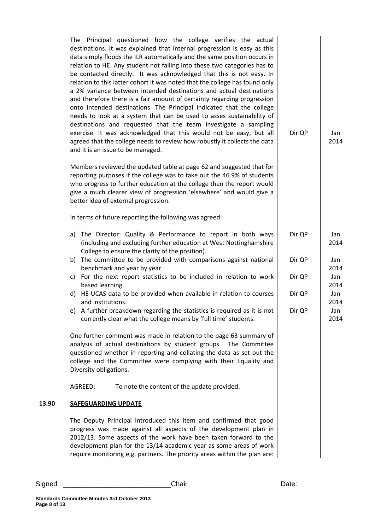| The Principal questioned how the college verifies the actual<br>destinations. It was explained that internal progression is easy as this<br>data simply floods the ILR automatically and the same position occurs in<br>relation to HE. Any student not falling into these two categories has to<br>be contacted directly. It was acknowledged that this is not easy. In<br>relation to this latter cohort it was noted that the college has found only<br>a 2% variance between intended destinations and actual destinations<br>and therefore there is a fair amount of certainty regarding progression<br>onto intended destinations. The Principal indicated that the college<br>needs to look at a system that can be used to asses sustainability of<br>destinations and requested that the team investigate a sampling<br>exercise. It was acknowledged that this would not be easy, but all<br>agreed that the college needs to review how robustly it collects the data<br>and it is an issue to be managed. | Dir QP |
|-----------------------------------------------------------------------------------------------------------------------------------------------------------------------------------------------------------------------------------------------------------------------------------------------------------------------------------------------------------------------------------------------------------------------------------------------------------------------------------------------------------------------------------------------------------------------------------------------------------------------------------------------------------------------------------------------------------------------------------------------------------------------------------------------------------------------------------------------------------------------------------------------------------------------------------------------------------------------------------------------------------------------|--------|
| Members reviewed the updated table at page 62 and suggested that for<br>reporting purposes if the college was to take out the 46.9% of students<br>who progress to further education at the college then the report would<br>give a much clearer view of progression 'elsewhere' and would give a<br>better idea of external progression.                                                                                                                                                                                                                                                                                                                                                                                                                                                                                                                                                                                                                                                                             |        |
| In terms of future reporting the following was agreed:                                                                                                                                                                                                                                                                                                                                                                                                                                                                                                                                                                                                                                                                                                                                                                                                                                                                                                                                                                |        |

- a) The Director: Quality & Performance to report in both ways (including and excluding further education at West Nottinghamshire College to ensure the clarity of the position). b) The committee to be provided with comparisons against national Dir QP Dir QP Jan 2014 Jan 2014
- benchmark and year by year. c) For the next report statistics to be included in relation to work based learning.
- d) HE UCAS data to be provided when available in relation to courses and institutions.
- e) A further breakdown regarding the statistics is required as it is not currently clear what the college means by 'full time' students. Dir QP

One further comment was made in relation to the page 63 summary of analysis of actual destinations by student groups. The Committee questioned whether in reporting and collating the data as set out the college and the Committee were complying with their Equality and Diversity obligations.

AGREED: To note the content of the update provided.

### **13.90 SAFEGUARDING UPDATE**

The Deputy Principal introduced this item and confirmed that good progress was made against all aspects of the development plan in 2012/13. Some aspects of the work have been taken forward to the development plan for the 13/14 academic year as some areas of work require monitoring e.g. partners. The priority areas within the plan are: Dir QP

Jan 2014

Jan 2014 Jan 2014 Jan 2014

Dir QP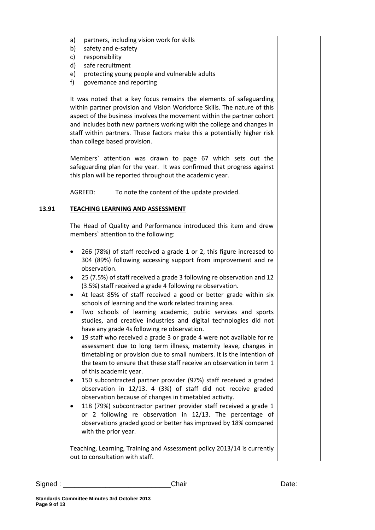- a) partners, including vision work for skills
- b) safety and e-safety
- c) responsibility
- d) safe recruitment
- e) protecting young people and vulnerable adults
- f) governance and reporting

It was noted that a key focus remains the elements of safeguarding within partner provision and Vision Workforce Skills. The nature of this aspect of the business involves the movement within the partner cohort and includes both new partners working with the college and changes in staff within partners. These factors make this a potentially higher risk than college based provision.

Members` attention was drawn to page 67 which sets out the safeguarding plan for the year. It was confirmed that progress against this plan will be reported throughout the academic year.

AGREED: To note the content of the update provided.

### **13.91 TEACHING LEARNING AND ASSESSMENT**

The Head of Quality and Performance introduced this item and drew members` attention to the following:

- 266 (78%) of staff received a grade 1 or 2, this figure increased to 304 (89%) following accessing support from improvement and re observation.
- 25 (7.5%) of staff received a grade 3 following re observation and 12 (3.5%) staff received a grade 4 following re observation.
- At least 85% of staff received a good or better grade within six schools of learning and the work related training area.
- Two schools of learning academic, public services and sports studies, and creative industries and digital technologies did not have any grade 4s following re observation.
- 19 staff who received a grade 3 or grade 4 were not available for re assessment due to long term illness, maternity leave, changes in timetabling or provision due to small numbers. It is the intention of the team to ensure that these staff receive an observation in term 1 of this academic year.
- 150 subcontracted partner provider (97%) staff received a graded observation in 12/13. 4 (3%) of staff did not receive graded observation because of changes in timetabled activity.
- 118 (79%) subcontractor partner provider staff received a grade 1 or 2 following re observation in 12/13. The percentage of observations graded good or better has improved by 18% compared with the prior year.

Teaching, Learning, Training and Assessment policy 2013/14 is currently out to consultation with staff.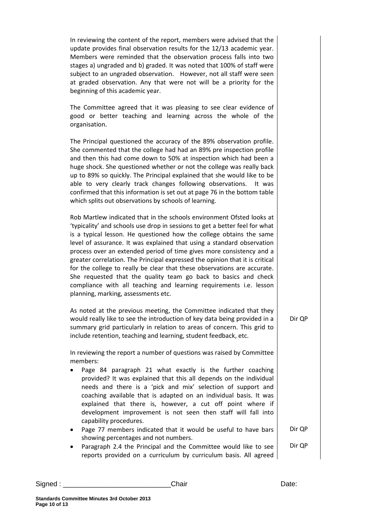In reviewing the content of the report, members were advised that the update provides final observation results for the 12/13 academic year. Members were reminded that the observation process falls into two stages a) ungraded and b) graded. It was noted that 100% of staff were subject to an ungraded observation. However, not all staff were seen at graded observation. Any that were not will be a priority for the beginning of this academic year.

The Committee agreed that it was pleasing to see clear evidence of good or better teaching and learning across the whole of the organisation.

The Principal questioned the accuracy of the 89% observation profile. She commented that the college had had an 89% pre inspection profile and then this had come down to 50% at inspection which had been a huge shock. She questioned whether or not the college was really back up to 89% so quickly. The Principal explained that she would like to be able to very clearly track changes following observations. It was confirmed that this information is set out at page 76 in the bottom table which splits out observations by schools of learning.

Rob Martlew indicated that in the schools environment Ofsted looks at 'typicality' and schools use drop in sessions to get a better feel for what is a typical lesson. He questioned how the college obtains the same level of assurance. It was explained that using a standard observation process over an extended period of time gives more consistency and a greater correlation. The Principal expressed the opinion that it is critical for the college to really be clear that these observations are accurate. She requested that the quality team go back to basics and check compliance with all teaching and learning requirements i.e. lesson planning, marking, assessments etc.

As noted at the previous meeting, the Committee indicated that they would really like to see the introduction of key data being provided in a summary grid particularly in relation to areas of concern. This grid to include retention, teaching and learning, student feedback, etc.

In reviewing the report a number of questions was raised by Committee members:

- Page 84 paragraph 21 what exactly is the further coaching provided? It was explained that this all depends on the individual needs and there is a 'pick and mix' selection of support and coaching available that is adapted on an individual basis. It was explained that there is, however, a cut off point where if development improvement is not seen then staff will fall into capability procedures.
- Page 77 members indicated that it would be useful to have bars showing percentages and not numbers. Dir QP
- Paragraph 2.4 the Principal and the Committee would like to see reports provided on a curriculum by curriculum basis. All agreed Dir QP

| Signed | Chair | Date: |
|--------|-------|-------|
|        |       |       |

Dir QP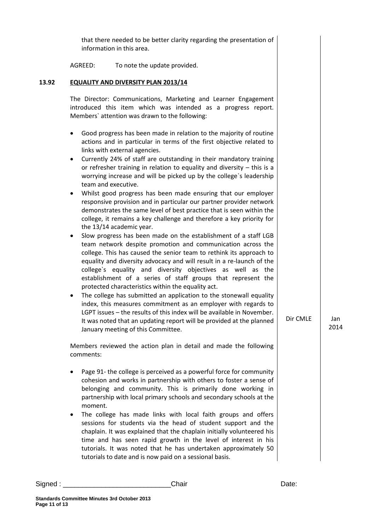that there needed to be better clarity regarding the presentation of information in this area.

AGREED: To note the update provided.

### **13.92 EQUALITY AND DIVERSITY PLAN 2013/14**

The Director: Communications, Marketing and Learner Engagement introduced this item which was intended as a progress report. Members` attention was drawn to the following:

- Good progress has been made in relation to the majority of routine actions and in particular in terms of the first objective related to links with external agencies.
- Currently 24% of staff are outstanding in their mandatory training or refresher training in relation to equality and diversity – this is a worrying increase and will be picked up by the college`s leadership team and executive.
- Whilst good progress has been made ensuring that our employer responsive provision and in particular our partner provider network demonstrates the same level of best practice that is seen within the college, it remains a key challenge and therefore a key priority for the 13/14 academic year.
- Slow progress has been made on the establishment of a staff LGB team network despite promotion and communication across the college. This has caused the senior team to rethink its approach to equality and diversity advocacy and will result in a re-launch of the college`s equality and diversity objectives as well as the establishment of a series of staff groups that represent the protected characteristics within the equality act.
- The college has submitted an application to the stonewall equality index, this measures commitment as an employer with regards to LGPT issues – the results of this index will be available in November. It was noted that an updating report will be provided at the planned January meeting of this Committee.

Members reviewed the action plan in detail and made the following comments:

- Page 91- the college is perceived as a powerful force for community cohesion and works in partnership with others to foster a sense of belonging and community. This is primarily done working in partnership with local primary schools and secondary schools at the moment.
- The college has made links with local faith groups and offers sessions for students via the head of student support and the chaplain. It was explained that the chaplain initially volunteered his time and has seen rapid growth in the level of interest in his tutorials. It was noted that he has undertaken approximately 50 tutorials to date and is now paid on a sessional basis.

Dir CMLE Jan

2014

Signed : \_\_\_\_\_\_\_\_\_\_\_\_\_\_\_\_\_\_\_\_\_\_\_\_\_\_\_\_Chair Date: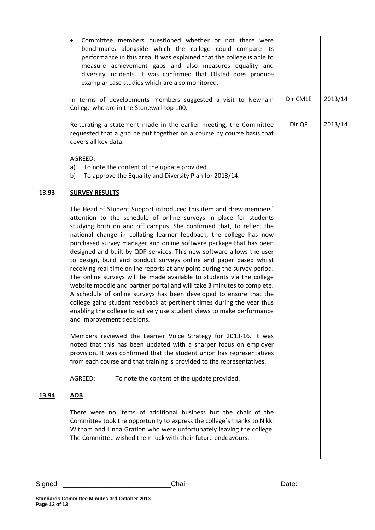|              | Committee members questioned whether or not there were<br>$\bullet$<br>benchmarks alongside which the college could compare its<br>performance in this area. It was explained that the college is able to<br>measure achievement gaps and also measures equality and<br>diversity incidents. It was confirmed that Ofsted does produce<br>examplar case studies which are also monitored.                                                                                                                                                                                                                                                                                                                                                                                                                                                                                                                                                                                                         |          |         |
|--------------|---------------------------------------------------------------------------------------------------------------------------------------------------------------------------------------------------------------------------------------------------------------------------------------------------------------------------------------------------------------------------------------------------------------------------------------------------------------------------------------------------------------------------------------------------------------------------------------------------------------------------------------------------------------------------------------------------------------------------------------------------------------------------------------------------------------------------------------------------------------------------------------------------------------------------------------------------------------------------------------------------|----------|---------|
|              | In terms of developments members suggested a visit to Newham<br>College who are in the Stonewall top 100.                                                                                                                                                                                                                                                                                                                                                                                                                                                                                                                                                                                                                                                                                                                                                                                                                                                                                         | Dir CMLE | 2013/14 |
|              | Reiterating a statement made in the earlier meeting, the Committee<br>requested that a grid be put together on a course by course basis that<br>covers all key data.                                                                                                                                                                                                                                                                                                                                                                                                                                                                                                                                                                                                                                                                                                                                                                                                                              | Dir QP   | 2013/14 |
|              | AGREED:<br>To note the content of the update provided.<br>a)<br>To approve the Equality and Diversity Plan for 2013/14.<br>b)                                                                                                                                                                                                                                                                                                                                                                                                                                                                                                                                                                                                                                                                                                                                                                                                                                                                     |          |         |
| 13.93        | <b>SURVEY RESULTS</b>                                                                                                                                                                                                                                                                                                                                                                                                                                                                                                                                                                                                                                                                                                                                                                                                                                                                                                                                                                             |          |         |
|              | The Head of Student Support introduced this item and drew members'<br>attention to the schedule of online surveys in place for students<br>studying both on and off campus. She confirmed that, to reflect the<br>national change in collating learner feedback, the college has now<br>purchased survey manager and online software package that has been<br>designed and built by QDP services. This new software allows the user<br>to design, build and conduct surveys online and paper based whilst<br>receiving real-time online reports at any point during the survey period.<br>The online surveys will be made available to students via the college<br>website moodle and partner portal and will take 3 minutes to complete.<br>A schedule of online surveys has been developed to ensure that the<br>college gains student feedback at pertinent times during the year thus<br>enabling the college to actively use student views to make performance<br>and improvement decisions. |          |         |
|              | Members reviewed the Learner Voice Strategy for 2013-16. It was<br>noted that this has been updated with a sharper focus on employer<br>provision. It was confirmed that the student union has representatives<br>from each course and that training is provided to the representatives.                                                                                                                                                                                                                                                                                                                                                                                                                                                                                                                                                                                                                                                                                                          |          |         |
|              | AGREED:<br>To note the content of the update provided.                                                                                                                                                                                                                                                                                                                                                                                                                                                                                                                                                                                                                                                                                                                                                                                                                                                                                                                                            |          |         |
| <u>13.94</u> | <b>AOB</b>                                                                                                                                                                                                                                                                                                                                                                                                                                                                                                                                                                                                                                                                                                                                                                                                                                                                                                                                                                                        |          |         |
|              | There were no items of additional business but the chair of the<br>Committee took the opportunity to express the college's thanks to Nikki<br>Witham and Linda Gration who were unfortunately leaving the college.<br>The Committee wished them luck with their future endeavours.                                                                                                                                                                                                                                                                                                                                                                                                                                                                                                                                                                                                                                                                                                                |          |         |
|              |                                                                                                                                                                                                                                                                                                                                                                                                                                                                                                                                                                                                                                                                                                                                                                                                                                                                                                                                                                                                   |          |         |